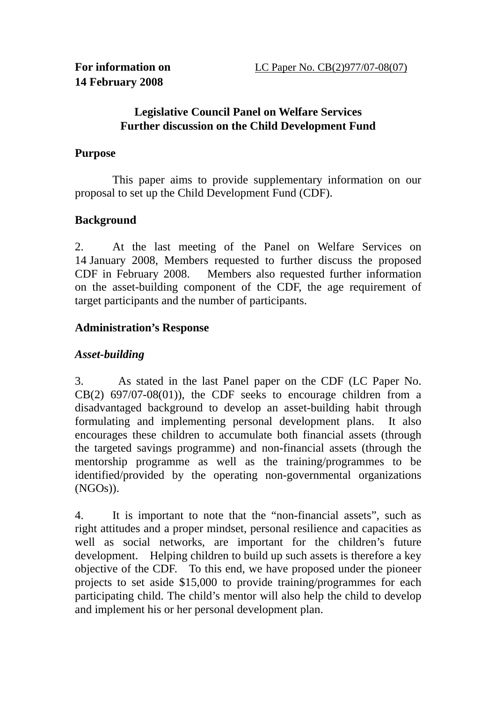### **Legislative Council Panel on Welfare Services Further discussion on the Child Development Fund**

### **Purpose**

 This paper aims to provide supplementary information on our proposal to set up the Child Development Fund (CDF).

# **Background**

2. At the last meeting of the Panel on Welfare Services on 14 January 2008, Members requested to further discuss the proposed CDF in February 2008. Members also requested further information on the asset-building component of the CDF, the age requirement of target participants and the number of participants.

# **Administration's Response**

## *Asset-building*

3. As stated in the last Panel paper on the CDF (LC Paper No. CB(2) 697/07-08(01)), the CDF seeks to encourage children from a disadvantaged background to develop an asset-building habit through formulating and implementing personal development plans. It also encourages these children to accumulate both financial assets (through the targeted savings programme) and non-financial assets (through the mentorship programme as well as the training/programmes to be identified/provided by the operating non-governmental organizations (NGOs)).

4. It is important to note that the "non-financial assets", such as right attitudes and a proper mindset, personal resilience and capacities as well as social networks, are important for the children's future development. Helping children to build up such assets is therefore a key objective of the CDF. To this end, we have proposed under the pioneer projects to set aside \$15,000 to provide training/programmes for each participating child. The child's mentor will also help the child to develop and implement his or her personal development plan.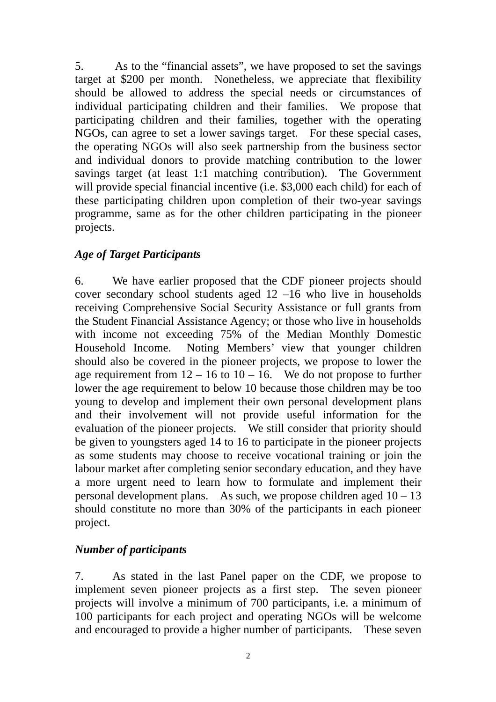5. As to the "financial assets", we have proposed to set the savings target at \$200 per month. Nonetheless, we appreciate that flexibility should be allowed to address the special needs or circumstances of individual participating children and their families. We propose that participating children and their families, together with the operating NGOs, can agree to set a lower savings target. For these special cases, the operating NGOs will also seek partnership from the business sector and individual donors to provide matching contribution to the lower savings target (at least 1:1 matching contribution). The Government will provide special financial incentive (i.e. \$3,000 each child) for each of these participating children upon completion of their two-year savings programme, same as for the other children participating in the pioneer projects.

### *Age of Target Participants*

6. We have earlier proposed that the CDF pioneer projects should cover secondary school students aged 12 –16 who live in households receiving Comprehensive Social Security Assistance or full grants from the Student Financial Assistance Agency; or those who live in households with income not exceeding 75% of the Median Monthly Domestic Household Income. Noting Members' view that younger children should also be covered in the pioneer projects, we propose to lower the age requirement from  $12 - 16$  to  $10 - 16$ . We do not propose to further lower the age requirement to below 10 because those children may be too young to develop and implement their own personal development plans and their involvement will not provide useful information for the evaluation of the pioneer projects. We still consider that priority should be given to youngsters aged 14 to 16 to participate in the pioneer projects as some students may choose to receive vocational training or join the labour market after completing senior secondary education, and they have a more urgent need to learn how to formulate and implement their personal development plans. As such, we propose children aged  $10 - 13$ should constitute no more than 30% of the participants in each pioneer project.

### *Number of participants*

7. As stated in the last Panel paper on the CDF, we propose to implement seven pioneer projects as a first step. The seven pioneer projects will involve a minimum of 700 participants, i.e. a minimum of 100 participants for each project and operating NGOs will be welcome and encouraged to provide a higher number of participants. These seven